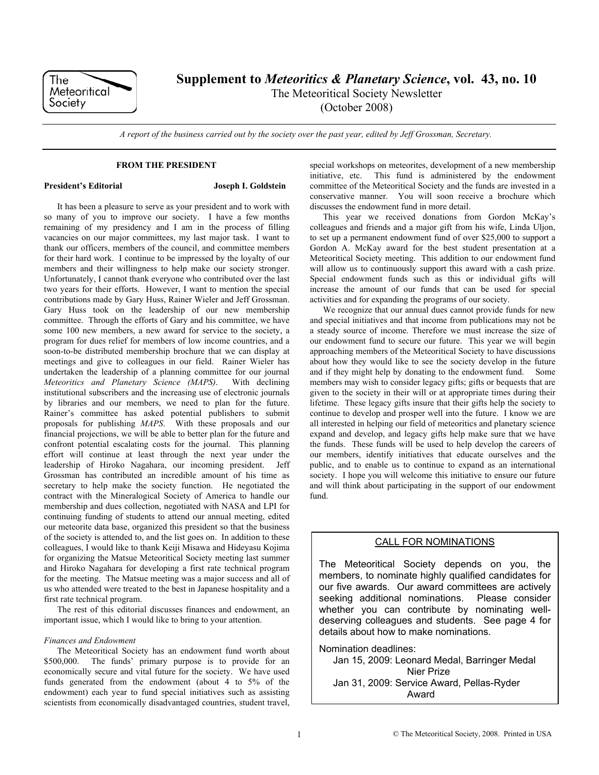

**Supplement to** *Meteoritics & Planetary Science***, vol. 43, no. 10** 

The Meteoritical Society Newsletter

(October 2008)

*A report of the business carried out by the society over the past year, edited by Jeff Grossman, Secretary.* 

### **FROM THE PRESIDENT**

## **President's Editorial Joseph I. Goldstein**

It has been a pleasure to serve as your president and to work with so many of you to improve our society. I have a few months remaining of my presidency and I am in the process of filling vacancies on our major committees, my last major task. I want to thank our officers, members of the council, and committee members for their hard work. I continue to be impressed by the loyalty of our members and their willingness to help make our society stronger. Unfortunately, I cannot thank everyone who contributed over the last two years for their efforts. However, I want to mention the special contributions made by Gary Huss, Rainer Wieler and Jeff Grossman. Gary Huss took on the leadership of our new membership committee. Through the efforts of Gary and his committee, we have some 100 new members, a new award for service to the society, a program for dues relief for members of low income countries, and a soon-to-be distributed membership brochure that we can display at meetings and give to colleagues in our field. Rainer Wieler has undertaken the leadership of a planning committee for our journal *Meteoritics and Planetary Science (MAPS)*. With declining institutional subscribers and the increasing use of electronic journals by libraries and our members, we need to plan for the future. Rainer's committee has asked potential publishers to submit proposals for publishing *MAPS*. With these proposals and our financial projections, we will be able to better plan for the future and confront potential escalating costs for the journal. This planning effort will continue at least through the next year under the leadership of Hiroko Nagahara, our incoming president. Jeff Grossman has contributed an incredible amount of his time as secretary to help make the society function. He negotiated the contract with the Mineralogical Society of America to handle our membership and dues collection, negotiated with NASA and LPI for continuing funding of students to attend our annual meeting, edited our meteorite data base, organized this president so that the business of the society is attended to, and the list goes on. In addition to these colleagues, I would like to thank Keiji Misawa and Hideyasu Kojima for organizing the Matsue Meteoritical Society meeting last summer and Hiroko Nagahara for developing a first rate technical program for the meeting. The Matsue meeting was a major success and all of us who attended were treated to the best in Japanese hospitality and a first rate technical program.

The rest of this editorial discusses finances and endowment, an important issue, which I would like to bring to your attention.

## *Finances and Endowment*

The Meteoritical Society has an endowment fund worth about \$500,000. The funds' primary purpose is to provide for an economically secure and vital future for the society. We have used funds generated from the endowment (about 4 to 5% of the endowment) each year to fund special initiatives such as assisting scientists from economically disadvantaged countries, student travel,

special workshops on meteorites, development of a new membership initiative, etc. This fund is administered by the endowment committee of the Meteoritical Society and the funds are invested in a conservative manner. You will soon receive a brochure which discusses the endowment fund in more detail.

This year we received donations from Gordon McKay's colleagues and friends and a major gift from his wife, Linda Uljon, to set up a permanent endowment fund of over \$25,000 to support a Gordon A. McKay award for the best student presentation at a Meteoritical Society meeting. This addition to our endowment fund will allow us to continuously support this award with a cash prize. Special endowment funds such as this or individual gifts will increase the amount of our funds that can be used for special activities and for expanding the programs of our society.

We recognize that our annual dues cannot provide funds for new and special initiatives and that income from publications may not be a steady source of income. Therefore we must increase the size of our endowment fund to secure our future. This year we will begin approaching members of the Meteoritical Society to have discussions about how they would like to see the society develop in the future and if they might help by donating to the endowment fund. Some members may wish to consider legacy gifts; gifts or bequests that are given to the society in their will or at appropriate times during their lifetime. These legacy gifts insure that their gifts help the society to continue to develop and prosper well into the future. I know we are all interested in helping our field of meteoritics and planetary science expand and develop, and legacy gifts help make sure that we have the funds. These funds will be used to help develop the careers of our members, identify initiatives that educate ourselves and the public, and to enable us to continue to expand as an international society. I hope you will welcome this initiative to ensure our future and will think about participating in the support of our endowment fund.

## CALL FOR NOMINATIONS

The Meteoritical Society depends on you, the members, to nominate highly qualified candidates for our five awards. Our award committees are actively seeking additional nominations. Please consider whether you can contribute by nominating welldeserving colleagues and students. See page 4 for details about how to make nominations.

Nomination deadlines: Jan 15, 2009: Leonard Medal, Barringer Medal Nier Prize Jan 31, 2009: Service Award, Pellas-Ryder Award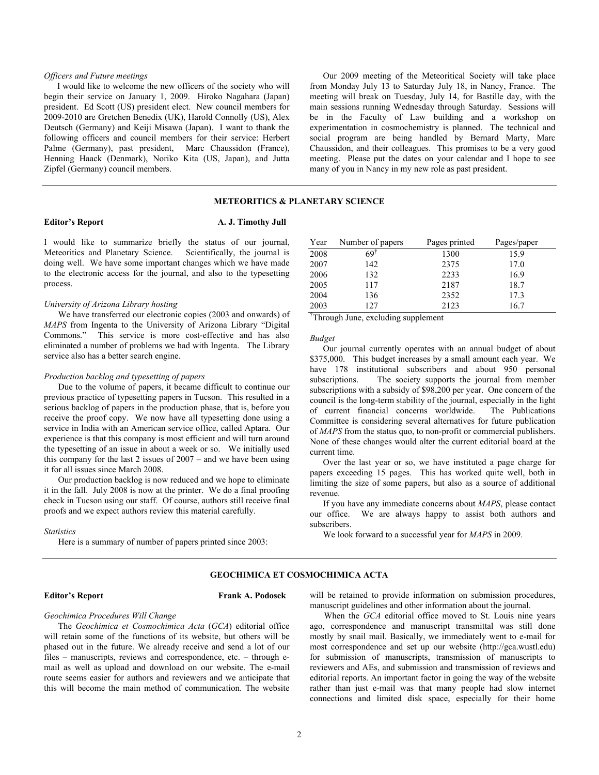## *Officers and Future meetings*

I would like to welcome the new officers of the society who will begin their service on January 1, 2009. Hiroko Nagahara (Japan) president. Ed Scott (US) president elect. New council members for 2009-2010 are Gretchen Benedix (UK), Harold Connolly (US), Alex Deutsch (Germany) and Keiji Misawa (Japan). I want to thank the following officers and council members for their service: Herbert Palme (Germany), past president, Marc Chaussidon (France), Henning Haack (Denmark), Noriko Kita (US, Japan), and Jutta Zipfel (Germany) council members.

Our 2009 meeting of the Meteoritical Society will take place from Monday July 13 to Saturday July 18, in Nancy, France. The meeting will break on Tuesday, July 14, for Bastille day, with the main sessions running Wednesday through Saturday. Sessions will be in the Faculty of Law building and a workshop on experimentation in cosmochemistry is planned. The technical and social program are being handled by Bernard Marty, Marc Chaussidon, and their colleagues. This promises to be a very good meeting. Please put the dates on your calendar and I hope to see many of you in Nancy in my new role as past president.

## **METEORITICS & PLANETARY SCIENCE**

### **Editor's Report A. J. Timothy Jull**

I would like to summarize briefly the status of our journal, Meteoritics and Planetary Science. Scientifically, the journal is doing well. We have some important changes which we have made to the electronic access for the journal, and also to the typesetting process.

### *University of Arizona Library hosting*

We have transferred our electronic copies (2003 and onwards) of *MAPS* from Ingenta to the University of Arizona Library "Digital Commons." This service is more cost-effective and has also eliminated a number of problems we had with Ingenta. The Library service also has a better search engine.

## *Production backlog and typesetting of papers*

Due to the volume of papers, it became difficult to continue our previous practice of typesetting papers in Tucson. This resulted in a serious backlog of papers in the production phase, that is, before you receive the proof copy. We now have all typesetting done using a service in India with an American service office, called Aptara. Our experience is that this company is most efficient and will turn around the typesetting of an issue in about a week or so. We initially used this company for the last 2 issues of 2007 – and we have been using it for all issues since March 2008.

Our production backlog is now reduced and we hope to eliminate it in the fall. July 2008 is now at the printer. We do a final proofing check in Tucson using our staff. Of course, authors still receive final proofs and we expect authors review this material carefully.

*Statistics* 

Here is a summary of number of papers printed since 2003:

| Year | Number of papers | Pages printed | Pages/paper |
|------|------------------|---------------|-------------|
| 2008 | 69†              | 1300          | 15.9        |
| 2007 | 142              | 2375          | 17.0        |
| 2006 | 132              | 2233          | 16.9        |
| 2005 | 117              | 2187          | 18.7        |
| 2004 | 136              | 2352          | 17.3        |
| 2003 | 127              | 2123          | 16.7        |

† Through June, excluding supplement

*Budget* 

Our journal currently operates with an annual budget of about \$375,000. This budget increases by a small amount each year. We have 178 institutional subscribers and about 950 personal subscriptions. The society supports the journal from member subscriptions with a subsidy of \$98,200 per year. One concern of the council is the long-term stability of the journal, especially in the light of current financial concerns worldwide. The Publications Committee is considering several alternatives for future publication of *MAPS* from the status quo, to non-profit or commercial publishers. None of these changes would alter the current editorial board at the current time.

Over the last year or so, we have instituted a page charge for papers exceeding 15 pages. This has worked quite well, both in limiting the size of some papers, but also as a source of additional revenue.

If you have any immediate concerns about *MAPS*, please contact our office. We are always happy to assist both authors and subscribers.

We look forward to a successful year for *MAPS* in 2009.

## **GEOCHIMICA ET COSMOCHIMICA ACTA**

### **Editor's Report Frank A. Podosek**

# *Geochimica Procedures Will Change*

 The *Geochimica et Cosmochimica Acta* (*GCA*) editorial office will retain some of the functions of its website, but others will be phased out in the future. We already receive and send a lot of our files – manuscripts, reviews and correspondence, etc. – through email as well as upload and download on our website. The e-mail route seems easier for authors and reviewers and we anticipate that this will become the main method of communication. The website will be retained to provide information on submission procedures, manuscript guidelines and other information about the journal.

 When the *GCA* editorial office moved to St. Louis nine years ago, correspondence and manuscript transmittal was still done mostly by snail mail. Basically, we immediately went to e-mail for most correspondence and set up our website (http://gca.wustl.edu) for submission of manuscripts, transmission of manuscripts to reviewers and AEs, and submission and transmission of reviews and editorial reports. An important factor in going the way of the website rather than just e-mail was that many people had slow internet connections and limited disk space, especially for their home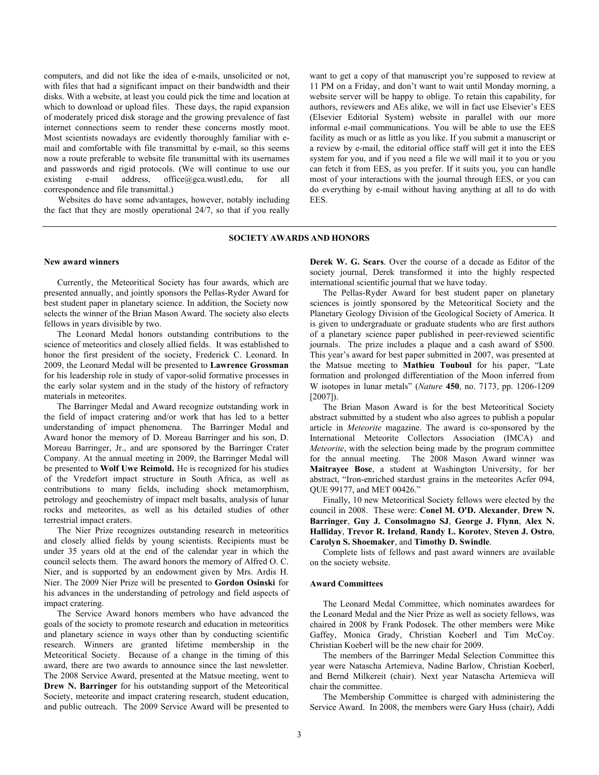computers, and did not like the idea of e-mails, unsolicited or not, with files that had a significant impact on their bandwidth and their disks. With a website, at least you could pick the time and location at which to download or upload files. These days, the rapid expansion of moderately priced disk storage and the growing prevalence of fast internet connections seem to render these concerns mostly moot. Most scientists nowadays are evidently thoroughly familiar with email and comfortable with file transmittal by e-mail, so this seems now a route preferable to website file transmittal with its usernames and passwords and rigid protocols. (We will continue to use our existing e-mail address, office@gca.wustl.edu, for all correspondence and file transmittal.)

Websites do have some advantages, however, notably including the fact that they are mostly operational 24/7, so that if you really want to get a copy of that manuscript you're supposed to review at 11 PM on a Friday, and don't want to wait until Monday morning, a website server will be happy to oblige. To retain this capability, for authors, reviewers and AEs alike, we will in fact use Elsevier's EES (Elsevier Editorial System) website in parallel with our more informal e-mail communications. You will be able to use the EES facility as much or as little as you like. If you submit a manuscript or a review by e-mail, the editorial office staff will get it into the EES system for you, and if you need a file we will mail it to you or you can fetch it from EES, as you prefer. If it suits you, you can handle most of your interactions with the journal through EES, or you can do everything by e-mail without having anything at all to do with EES.

## **SOCIETY AWARDS AND HONORS**

### **New award winners**

Currently, the Meteoritical Society has four awards, which are presented annually, and jointly sponsors the Pellas-Ryder Award for best student paper in planetary science. In addition, the Society now selects the winner of the Brian Mason Award. The society also elects fellows in years divisible by two.

The Leonard Medal honors outstanding contributions to the science of meteoritics and closely allied fields. It was established to honor the first president of the society, Frederick C. Leonard. In 2009, the Leonard Medal will be presented to **Lawrence Grossman** for his leadership role in study of vapor-solid formative processes in the early solar system and in the study of the history of refractory materials in meteorites.

The Barringer Medal and Award recognize outstanding work in the field of impact cratering and/or work that has led to a better understanding of impact phenomena. The Barringer Medal and Award honor the memory of D. Moreau Barringer and his son, D. Moreau Barringer, Jr., and are sponsored by the Barringer Crater Company. At the annual meeting in 2009, the Barringer Medal will be presented to **Wolf Uwe Reimold.** He is recognized for his studies of the Vredefort impact structure in South Africa, as well as contributions to many fields, including shock metamorphism, petrology and geochemistry of impact melt basalts, analysis of lunar rocks and meteorites, as well as his detailed studies of other terrestrial impact craters.

The Nier Prize recognizes outstanding research in meteoritics and closely allied fields by young scientists. Recipients must be under 35 years old at the end of the calendar year in which the council selects them. The award honors the memory of Alfred O. C. Nier, and is supported by an endowment given by Mrs. Ardis H. Nier. The 2009 Nier Prize will be presented to **Gordon Osinski** for his advances in the understanding of petrology and field aspects of impact cratering.

The Service Award honors members who have advanced the goals of the society to promote research and education in meteoritics and planetary science in ways other than by conducting scientific research. Winners are granted lifetime membership in the Meteoritical Society. Because of a change in the timing of this award, there are two awards to announce since the last newsletter. The 2008 Service Award, presented at the Matsue meeting, went to **Drew N. Barringer** for his outstanding support of the Meteoritical Society, meteorite and impact cratering research, student education, and public outreach. The 2009 Service Award will be presented to **Derek W. G. Sears**. Over the course of a decade as Editor of the society journal, Derek transformed it into the highly respected international scientific journal that we have today.

The Pellas-Ryder Award for best student paper on planetary sciences is jointly sponsored by the Meteoritical Society and the Planetary Geology Division of the Geological Society of America. It is given to undergraduate or graduate students who are first authors of a planetary science paper published in peer-reviewed scientific journals. The prize includes a plaque and a cash award of \$500. This year's award for best paper submitted in 2007, was presented at the Matsue meeting to **Mathieu Touboul** for his paper, "Late formation and prolonged differentiation of the Moon inferred from W isotopes in lunar metals" (*Nature* **450**, no. 7173, pp. 1206-1209 [2007]).

The Brian Mason Award is for the best Meteoritical Society abstract submitted by a student who also agrees to publish a popular article in *Meteorite* magazine. The award is co-sponsored by the International Meteorite Collectors Association (IMCA) and *Meteorite*, with the selection being made by the program committee for the annual meeting. The 2008 Mason Award winner was **Maitrayee Bose**, a student at Washington University, for her abstract, "Iron-enriched stardust grains in the meteorites Acfer 094, QUE 99177, and MET 00426."

Finally, 10 new Meteoritical Society fellows were elected by the council in 2008. These were: **Conel M. O'D. Alexander**, **Drew N. Barringer**, **Guy J. Consolmagno SJ**, **George J. Flynn**, **Alex N. Halliday**, **Trevor R. Ireland**, **Randy L. Korotev**, **Steven J. Ostro**, **Carolyn S. Shoemaker**, and **Timothy D. Swindle**.

Complete lists of fellows and past award winners are available on the society website.

### **Award Committees**

The Leonard Medal Committee, which nominates awardees for the Leonard Medal and the Nier Prize as well as society fellows, was chaired in 2008 by Frank Podosek. The other members were Mike Gaffey, Monica Grady, Christian Koeberl and Tim McCoy. Christian Koeberl will be the new chair for 2009.

The members of the Barringer Medal Selection Committee this year were Natascha Artemieva, Nadine Barlow, Christian Koeberl, and Bernd Milkereit (chair). Next year Natascha Artemieva will chair the committee.

The Membership Committee is charged with administering the Service Award. In 2008, the members were Gary Huss (chair), Addi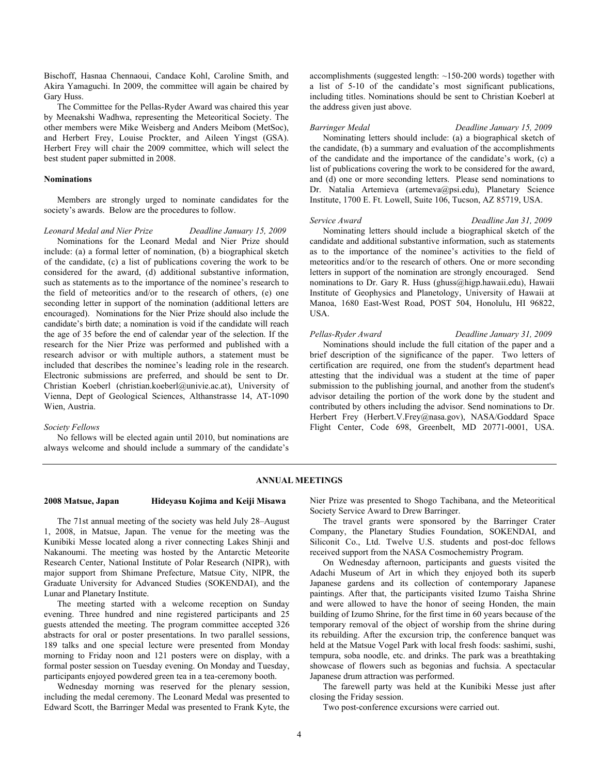Bischoff, Hasnaa Chennaoui, Candace Kohl, Caroline Smith, and Akira Yamaguchi. In 2009, the committee will again be chaired by Gary Huss.

The Committee for the Pellas-Ryder Award was chaired this year by Meenakshi Wadhwa, representing the Meteoritical Society. The other members were Mike Weisberg and Anders Meibom (MetSoc), and Herbert Frey, Louise Prockter, and Aileen Yingst (GSA). Herbert Frey will chair the 2009 committee, which will select the best student paper submitted in 2008.

## **Nominations**

Members are strongly urged to nominate candidates for the society's awards. Below are the procedures to follow.

*Leonard Medal and Nier Prize Deadline January 15, 2009* 

Nominations for the Leonard Medal and Nier Prize should include: (a) a formal letter of nomination, (b) a biographical sketch of the candidate, (c) a list of publications covering the work to be considered for the award, (d) additional substantive information, such as statements as to the importance of the nominee's research to the field of meteoritics and/or to the research of others, (e) one seconding letter in support of the nomination (additional letters are encouraged). Nominations for the Nier Prize should also include the candidate's birth date; a nomination is void if the candidate will reach the age of 35 before the end of calendar year of the selection. If the research for the Nier Prize was performed and published with a research advisor or with multiple authors, a statement must be included that describes the nominee's leading role in the research. Electronic submissions are preferred, and should be sent to Dr. Christian Koeberl (christian.koeberl@univie.ac.at), University of Vienna, Dept of Geological Sciences, Althanstrasse 14, AT-1090 Wien, Austria.

### *Society Fellows*

No fellows will be elected again until 2010, but nominations are always welcome and should include a summary of the candidate's accomplishments (suggested length: ~150-200 words) together with a list of 5-10 of the candidate's most significant publications, including titles. Nominations should be sent to Christian Koeberl at the address given just above.

*Barringer Medal Deadline January 15, 2009*  Nominating letters should include: (a) a biographical sketch of the candidate, (b) a summary and evaluation of the accomplishments of the candidate and the importance of the candidate's work, (c) a list of publications covering the work to be considered for the award, and (d) one or more seconding letters. Please send nominations to Dr. Natalia Artemieva (artemeva@psi.edu), Planetary Science Institute, 1700 E. Ft. Lowell, Suite 106, Tucson, AZ 85719, USA.

*Service Award Deadline Jan 31, 2009* 

Nominating letters should include a biographical sketch of the candidate and additional substantive information, such as statements as to the importance of the nominee's activities to the field of meteoritics and/or to the research of others. One or more seconding letters in support of the nomination are strongly encouraged. Send nominations to Dr. Gary R. Huss (ghuss@higp.hawaii.edu), Hawaii Institute of Geophysics and Planetology, University of Hawaii at Manoa, 1680 East-West Road, POST 504, Honolulu, HI 96822, USA.

## *Pellas-Ryder Award Deadline January 31, 2009*

Nominations should include the full citation of the paper and a brief description of the significance of the paper. Two letters of certification are required, one from the student's department head attesting that the individual was a student at the time of paper submission to the publishing journal, and another from the student's advisor detailing the portion of the work done by the student and contributed by others including the advisor. Send nominations to Dr. Herbert Frey (Herbert.V.Frey@nasa.gov), NASA/Goddard Space Flight Center, Code 698, Greenbelt, MD 20771-0001, USA.

### **ANNUAL MEETINGS**

# **2008 Matsue, Japan Hideyasu Kojima and Keiji Misawa**

The 71st annual meeting of the society was held July 28–August 1, 2008, in Matsue, Japan. The venue for the meeting was the Kunibiki Messe located along a river connecting Lakes Shinji and Nakanoumi. The meeting was hosted by the Antarctic Meteorite Research Center, National Institute of Polar Research (NIPR), with major support from Shimane Prefecture, Matsue City, NIPR, the Graduate University for Advanced Studies (SOKENDAI), and the Lunar and Planetary Institute.

The meeting started with a welcome reception on Sunday evening. Three hundred and nine registered participants and 25 guests attended the meeting. The program committee accepted 326 abstracts for oral or poster presentations. In two parallel sessions, 189 talks and one special lecture were presented from Monday morning to Friday noon and 121 posters were on display, with a formal poster session on Tuesday evening. On Monday and Tuesday, participants enjoyed powdered green tea in a tea-ceremony booth.

Wednesday morning was reserved for the plenary session, including the medal ceremony. The Leonard Medal was presented to Edward Scott, the Barringer Medal was presented to Frank Kyte, the Nier Prize was presented to Shogo Tachibana, and the Meteoritical Society Service Award to Drew Barringer.

The travel grants were sponsored by the Barringer Crater Company, the Planetary Studies Foundation, SOKENDAI, and Siliconit Co., Ltd. Twelve U.S. students and post-doc fellows received support from the NASA Cosmochemistry Program.

On Wednesday afternoon, participants and guests visited the Adachi Museum of Art in which they enjoyed both its superb Japanese gardens and its collection of contemporary Japanese paintings. After that, the participants visited Izumo Taisha Shrine and were allowed to have the honor of seeing Honden, the main building of Izumo Shrine, for the first time in 60 years because of the temporary removal of the object of worship from the shrine during its rebuilding. After the excursion trip, the conference banquet was held at the Matsue Vogel Park with local fresh foods: sashimi, sushi, tempura, soba noodle, etc. and drinks. The park was a breathtaking showcase of flowers such as begonias and fuchsia. A spectacular Japanese drum attraction was performed.

The farewell party was held at the Kunibiki Messe just after closing the Friday session.

Two post-conference excursions were carried out.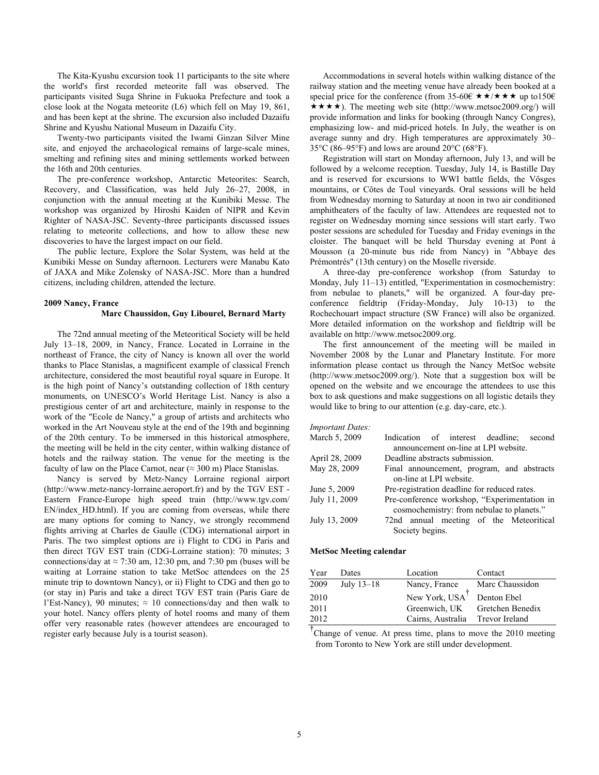The Kita-Kyushu excursion took 11 participants to the site where the world's first recorded meteorite fall was observed. The participants visited Suga Shrine in Fukuoka Prefecture and took a close look at the Nogata meteorite (L6) which fell on May 19, 861, and has been kept at the shrine. The excursion also included Dazaifu Shrine and Kyushu National Museum in Dazaifu City.

Twenty-two participants visited the Iwami Ginzan Silver Mine site, and enjoyed the archaeological remains of large-scale mines, smelting and refining sites and mining settlements worked between the 16th and 20th centuries.

The pre-conference workshop, Antarctic Meteorites: Search, Recovery, and Classification, was held July 26–27, 2008, in conjunction with the annual meeting at the Kunibiki Messe. The workshop was organized by Hiroshi Kaiden of NIPR and Kevin Righter of NASA-JSC. Seventy-three participants discussed issues relating to meteorite collections, and how to allow these new discoveries to have the largest impact on our field.

The public lecture, Explore the Solar System, was held at the Kunibiki Messe on Sunday afternoon. Lecturers were Manabu Kato of JAXA and Mike Zolensky of NASA-JSC. More than a hundred citizens, including children, attended the lecture.

### **2009 Nancy, France**

### **Marc Chaussidon, Guy Libourel, Bernard Marty**

The 72nd annual meeting of the Meteoritical Society will be held July 13–18, 2009, in Nancy, France. Located in Lorraine in the northeast of France, the city of Nancy is known all over the world thanks to Place Stanislas, a magnificent example of classical French architecture, considered the most beautiful royal square in Europe. It is the high point of Nancy's outstanding collection of 18th century monuments, on UNESCO's World Heritage List. Nancy is also a prestigious center of art and architecture, mainly in response to the work of the "Ecole de Nancy," a group of artists and architects who worked in the Art Nouveau style at the end of the 19th and beginning of the 20th century. To be immersed in this historical atmosphere, the meeting will be held in the city center, within walking distance of hotels and the railway station. The venue for the meeting is the faculty of law on the Place Carnot, near ( $\approx$  300 m) Place Stanislas.

Nancy is served by Metz-Nancy Lorraine regional airport (http://www.metz-nancy-lorraine.aeroport.fr) and by the TGV EST - Eastern France-Europe high speed train (http://www.tgv.com/ EN/index\_HD.html). If you are coming from overseas, while there are many options for coming to Nancy, we strongly recommend flights arriving at Charles de Gaulle (CDG) international airport in Paris. The two simplest options are i) Flight to CDG in Paris and then direct TGV EST train (CDG-Lorraine station): 70 minutes; 3 connections/day at  $\approx$  7:30 am, 12:30 pm, and 7:30 pm (buses will be waiting at Lorraine station to take MetSoc attendees on the 25 minute trip to downtown Nancy), or ii) Flight to CDG and then go to (or stay in) Paris and take a direct TGV EST train (Paris Gare de l'Est-Nancy), 90 minutes;  $\approx$  10 connections/day and then walk to your hotel. Nancy offers plenty of hotel rooms and many of them offer very reasonable rates (however attendees are encouraged to register early because July is a tourist season).

Accommodations in several hotels within walking distance of the railway station and the meeting venue have already been booked at a special price for the conference (from 35-60 $\epsilon \star \star / \star \star \star$  up to150 $\epsilon$ )  $\star \star \star \star$ ). The meeting web site (http://www.metsoc2009.org/) will provide information and links for booking (through Nancy Congres), emphasizing low- and mid-priced hotels. In July, the weather is on average sunny and dry. High temperatures are approximately 30– 35°C (86–95°F) and lows are around 20°C (68°F).

Registration will start on Monday afternoon, July 13, and will be followed by a welcome reception. Tuesday, July 14, is Bastille Day and is reserved for excursions to WWI battle fields, the Vôsges mountains, or Côtes de Toul vineyards. Oral sessions will be held from Wednesday morning to Saturday at noon in two air conditioned amphitheaters of the faculty of law. Attendees are requested not to register on Wednesday morning since sessions will start early. Two poster sessions are scheduled for Tuesday and Friday evenings in the cloister. The banquet will be held Thursday evening at Pont à Mousson (a 20-minute bus ride from Nancy) in "Abbaye des Prémontrés" (13th century) on the Moselle riverside.

A three-day pre-conference workshop (from Saturday to Monday, July 11–13) entitled, "Experimentation in cosmochemistry: from nebulae to planets," will be organized. A four-day preconference fieldtrip (Friday-Monday, July 10-13) to the Rochechouart impact structure (SW France) will also be organized. More detailed information on the workshop and fieldtrip will be available on http://www.metsoc2009.org.

The first announcement of the meeting will be mailed in November 2008 by the Lunar and Planetary Institute. For more information please contact us through the Nancy MetSoc website (http://www.metsoc2009.org/). Note that a suggestion box will be opened on the website and we encourage the attendees to use this box to ask questions and make suggestions on all logistic details they would like to bring to our attention (e.g. day-care, etc.).

| March 5, 2009  | Indication of interest deadline;<br>second   |  |  |  |  |  |  |
|----------------|----------------------------------------------|--|--|--|--|--|--|
|                | announcement on-line at LPI website.         |  |  |  |  |  |  |
| April 28, 2009 | Deadline abstracts submission.               |  |  |  |  |  |  |
| May 28, 2009   | Final announcement, program, and abstracts   |  |  |  |  |  |  |
|                | on-line at LPI website.                      |  |  |  |  |  |  |
| June 5, 2009   | Pre-registration deadline for reduced rates. |  |  |  |  |  |  |
| July 11, 2009  | Pre-conference workshop, "Experimentation in |  |  |  |  |  |  |
|                | cosmochemistry: from nebulae to planets."    |  |  |  |  |  |  |
| July 13, 2009  | 72nd annual meeting of the Meteoritical      |  |  |  |  |  |  |
|                | Society begins.                              |  |  |  |  |  |  |
|                |                                              |  |  |  |  |  |  |

### **MetSoc Meeting calendar**

| Year | Dates        | Location                   | Contact          |
|------|--------------|----------------------------|------------------|
| 2009 | July $13-18$ | Nancy, France              | Marc Chaussidon  |
| 2010 |              | New York, USA <sup>T</sup> | Denton Ebel      |
| 2011 |              | Greenwich. UK              | Gretchen Benedix |
| 2012 |              | Cairns, Australia          | Trevor Ireland   |

† Change of venue. At press time, plans to move the 2010 meeting from Toronto to New York are still under development.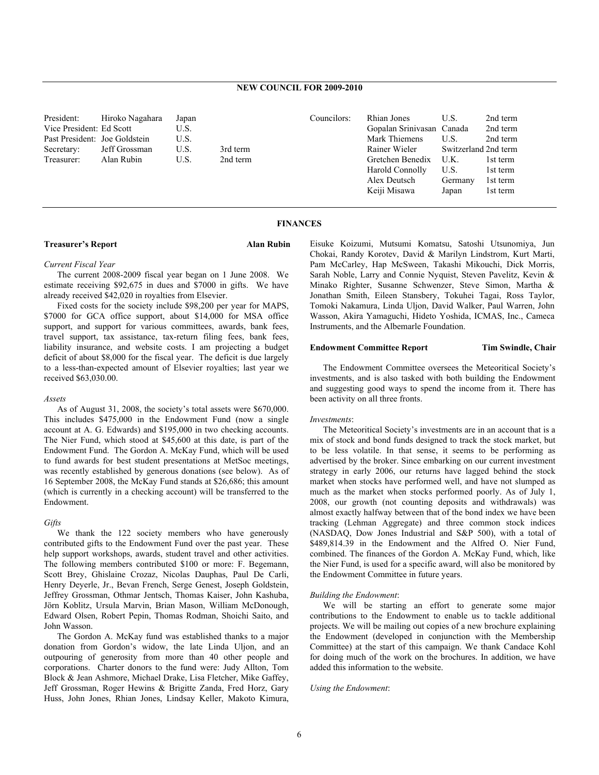| President:                    | Hiroko Nagahara | Japan |          | Councilors: | Rhian Jones               | U.S.                 | 2nd term |
|-------------------------------|-----------------|-------|----------|-------------|---------------------------|----------------------|----------|
| Vice President: Ed Scott      |                 | U.S.  |          |             | Gopalan Sriniyasan Canada |                      | 2nd term |
| Past President: Joe Goldstein |                 | U.S.  |          |             | Mark Thiemens             | U.S.                 | 2nd term |
| Secretary:                    | Jeff Grossman   | U.S.  | 3rd term |             | Rainer Wieler             | Switzerland 2nd term |          |
| Treasurer:                    | Alan Rubin      | U.S.  | 2nd term |             | Gretchen Benedix          | U.K.                 | 1st term |
|                               |                 |       |          |             | Harold Connolly           | U.S.                 | 1st term |
|                               |                 |       |          |             | Alex Deutsch              | Germany              | 1st term |
|                               |                 |       |          |             | Keiji Misawa              | Japan                | 1st term |

### **FINANCES**

## **Treasurer's Report Communist Property Alan Rubin**

## *Current Fiscal Year*

The current 2008-2009 fiscal year began on 1 June 2008. We estimate receiving \$92,675 in dues and \$7000 in gifts. We have already received \$42,020 in royalties from Elsevier.

Fixed costs for the society include \$98,200 per year for MAPS, \$7000 for GCA office support, about \$14,000 for MSA office support, and support for various committees, awards, bank fees, travel support, tax assistance, tax-return filing fees, bank fees, liability insurance, and website costs. I am projecting a budget deficit of about \$8,000 for the fiscal year. The deficit is due largely to a less-than-expected amount of Elsevier royalties; last year we received \$63,030.00.

### *Assets*

As of August 31, 2008, the society's total assets were \$670,000. This includes \$475,000 in the Endowment Fund (now a single account at A. G. Edwards) and \$195,000 in two checking accounts. The Nier Fund, which stood at \$45,600 at this date, is part of the Endowment Fund. The Gordon A. McKay Fund, which will be used to fund awards for best student presentations at MetSoc meetings, was recently established by generous donations (see below). As of 16 September 2008, the McKay Fund stands at \$26,686; this amount (which is currently in a checking account) will be transferred to the Endowment.

## *Gifts*

We thank the 122 society members who have generously contributed gifts to the Endowment Fund over the past year. These help support workshops, awards, student travel and other activities. The following members contributed \$100 or more: F. Begemann, Scott Brey, Ghislaine Crozaz, Nicolas Dauphas, Paul De Carli, Henry Deyerle, Jr., Bevan French, Serge Genest, Joseph Goldstein, Jeffrey Grossman, Othmar Jentsch, Thomas Kaiser, John Kashuba, Jörn Koblitz, Ursula Marvin, Brian Mason, William McDonough, Edward Olsen, Robert Pepin, Thomas Rodman, Shoichi Saito, and John Wasson.

The Gordon A. McKay fund was established thanks to a major donation from Gordon's widow, the late Linda Uljon, and an outpouring of generosity from more than 40 other people and corporations. Charter donors to the fund were: Judy Allton, Tom Block & Jean Ashmore, Michael Drake, Lisa Fletcher, Mike Gaffey, Jeff Grossman, Roger Hewins & Brigitte Zanda, Fred Horz, Gary Huss, John Jones, Rhian Jones, Lindsay Keller, Makoto Kimura, Eisuke Koizumi, Mutsumi Komatsu, Satoshi Utsunomiya, Jun Chokai, Randy Korotev, David & Marilyn Lindstrom, Kurt Marti, Pam McCarley, Hap McSween, Takashi Mikouchi, Dick Morris, Sarah Noble, Larry and Connie Nyquist, Steven Pavelitz, Kevin & Minako Righter, Susanne Schwenzer, Steve Simon, Martha & Jonathan Smith, Eileen Stansbery, Tokuhei Tagai, Ross Taylor, Tomoki Nakamura, Linda Uljon, David Walker, Paul Warren, John Wasson, Akira Yamaguchi, Hideto Yoshida, ICMAS, Inc., Cameca Instruments, and the Albemarle Foundation.

## **Endowment Committee Report Tim Swindle, Chair**

The Endowment Committee oversees the Meteoritical Society's investments, and is also tasked with both building the Endowment and suggesting good ways to spend the income from it. There has been activity on all three fronts.

### *Investments*:

The Meteoritical Society's investments are in an account that is a mix of stock and bond funds designed to track the stock market, but to be less volatile. In that sense, it seems to be performing as advertised by the broker. Since embarking on our current investment strategy in early 2006, our returns have lagged behind the stock market when stocks have performed well, and have not slumped as much as the market when stocks performed poorly. As of July 1, 2008, our growth (not counting deposits and withdrawals) was almost exactly halfway between that of the bond index we have been tracking (Lehman Aggregate) and three common stock indices (NASDAQ, Dow Jones Industrial and S&P 500), with a total of \$489,814.39 in the Endowment and the Alfred O. Nier Fund, combined. The finances of the Gordon A. McKay Fund, which, like the Nier Fund, is used for a specific award, will also be monitored by the Endowment Committee in future years.

### *Building the Endowment*:

We will be starting an effort to generate some major contributions to the Endowment to enable us to tackle additional projects. We will be mailing out copies of a new brochure explaining the Endowment (developed in conjunction with the Membership Committee) at the start of this campaign. We thank Candace Kohl for doing much of the work on the brochures. In addition, we have added this information to the website.

### *Using the Endowment*: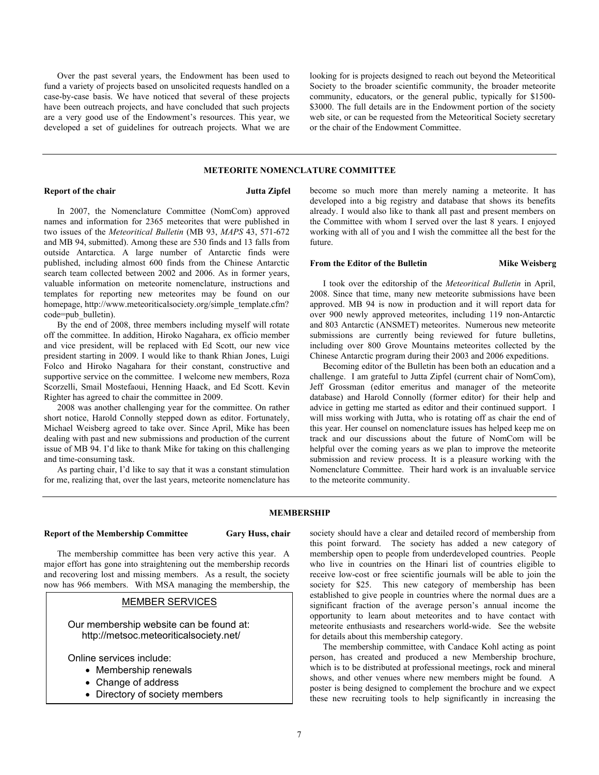Over the past several years, the Endowment has been used to fund a variety of projects based on unsolicited requests handled on a case-by-case basis. We have noticed that several of these projects have been outreach projects, and have concluded that such projects are a very good use of the Endowment's resources. This year, we developed a set of guidelines for outreach projects. What we are looking for is projects designed to reach out beyond the Meteoritical Society to the broader scientific community, the broader meteorite community, educators, or the general public, typically for \$1500- \$3000. The full details are in the Endowment portion of the society web site, or can be requested from the Meteoritical Society secretary or the chair of the Endowment Committee.

### **METEORITE NOMENCLATURE COMMITTEE**

### **Report of the chair** Jutta Zipfel

In 2007, the Nomenclature Committee (NomCom) approved names and information for 2365 meteorites that were published in two issues of the *Meteoritical Bulletin* (MB 93, *MAPS* 43, 571-672 and MB 94, submitted). Among these are 530 finds and 13 falls from outside Antarctica. A large number of Antarctic finds were published, including almost 600 finds from the Chinese Antarctic search team collected between 2002 and 2006. As in former years, valuable information on meteorite nomenclature, instructions and templates for reporting new meteorites may be found on our homepage, http://www.meteoriticalsociety.org/simple\_template.cfm? code=pub\_bulletin).

By the end of 2008, three members including myself will rotate off the committee. In addition, Hiroko Nagahara, ex officio member and vice president, will be replaced with Ed Scott, our new vice president starting in 2009. I would like to thank Rhian Jones, Luigi Folco and Hiroko Nagahara for their constant, constructive and supportive service on the committee. I welcome new members, Roza Scorzelli, Smail Mostefaoui, Henning Haack, and Ed Scott. Kevin Righter has agreed to chair the committee in 2009.

2008 was another challenging year for the committee. On rather short notice, Harold Connolly stepped down as editor. Fortunately, Michael Weisberg agreed to take over. Since April, Mike has been dealing with past and new submissions and production of the current issue of MB 94. I'd like to thank Mike for taking on this challenging and time-consuming task.

As parting chair, I'd like to say that it was a constant stimulation for me, realizing that, over the last years, meteorite nomenclature has become so much more than merely naming a meteorite. It has developed into a big registry and database that shows its benefits already. I would also like to thank all past and present members on the Committee with whom I served over the last 8 years. I enjoyed working with all of you and I wish the committee all the best for the future.

## **From the Editor of the Bulletin Mike Weisberg Mike Weisberg**

I took over the editorship of the *Meteoritical Bulletin* in April, 2008. Since that time, many new meteorite submissions have been approved. MB 94 is now in production and it will report data for over 900 newly approved meteorites, including 119 non-Antarctic and 803 Antarctic (ANSMET) meteorites. Numerous new meteorite submissions are currently being reviewed for future bulletins, including over 800 Grove Mountains meteorites collected by the Chinese Antarctic program during their 2003 and 2006 expeditions.

Becoming editor of the Bulletin has been both an education and a challenge. I am grateful to Jutta Zipfel (current chair of NomCom), Jeff Grossman (editor emeritus and manager of the meteorite database) and Harold Connolly (former editor) for their help and advice in getting me started as editor and their continued support. I will miss working with Jutta, who is rotating off as chair the end of this year. Her counsel on nomenclature issues has helped keep me on track and our discussions about the future of NomCom will be helpful over the coming years as we plan to improve the meteorite submission and review process. It is a pleasure working with the Nomenclature Committee. Their hard work is an invaluable service to the meteorite community.

### **MEMBERSHIP**

## **Report of the Membership Committee Gary Huss, chair**

The membership committee has been very active this year. A major effort has gone into straightening out the membership records and recovering lost and missing members. As a result, the society now has 966 members. With MSA managing the membership, the

# MEMBER SERVICES

Our membership website can be found at: http://metsoc.meteoriticalsociety.net/

Online services include:

- Membership renewals
- Change of address
- Directory of society members

society should have a clear and detailed record of membership from this point forward. The society has added a new category of membership open to people from underdeveloped countries. People who live in countries on the Hinari list of countries eligible to receive low-cost or free scientific journals will be able to join the society for \$25. This new category of membership has been established to give people in countries where the normal dues are a significant fraction of the average person's annual income the opportunity to learn about meteorites and to have contact with meteorite enthusiasts and researchers world-wide. See the website for details about this membership category.

The membership committee, with Candace Kohl acting as point person, has created and produced a new Membership brochure, which is to be distributed at professional meetings, rock and mineral shows, and other venues where new members might be found. A poster is being designed to complement the brochure and we expect these new recruiting tools to help significantly in increasing the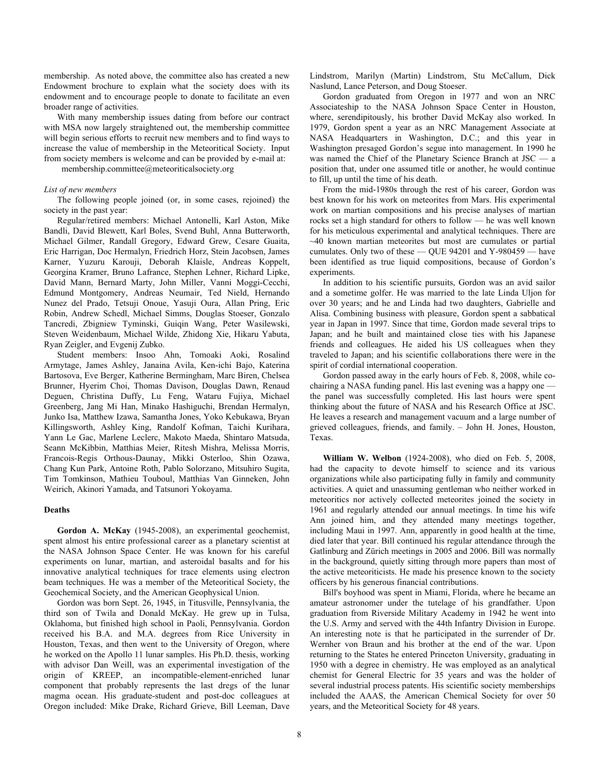membership. As noted above, the committee also has created a new Endowment brochure to explain what the society does with its endowment and to encourage people to donate to facilitate an even broader range of activities.

With many membership issues dating from before our contract with MSA now largely straightened out, the membership committee will begin serious efforts to recruit new members and to find ways to increase the value of membership in the Meteoritical Society. Input from society members is welcome and can be provided by e-mail at:

membership.committee@meteoriticalsociety.org

### *List of new members*

The following people joined (or, in some cases, rejoined) the society in the past year:

Regular/retired members: Michael Antonelli, Karl Aston, Mike Bandli, David Blewett, Karl Boles, Svend Buhl, Anna Butterworth, Michael Gilmer, Randall Gregory, Edward Grew, Cesare Guaita, Eric Harrigan, Doc Hermalyn, Friedrich Horz, Stein Jacobsen, James Karner, Yuzuru Karouji, Deborah Klaisle, Andreas Koppelt, Georgina Kramer, Bruno Lafrance, Stephen Lehner, Richard Lipke, David Mann, Bernard Marty, John Miller, Vanni Moggi-Cecchi, Edmund Montgomery, Andreas Neumair, Ted Nield, Hernando Nunez del Prado, Tetsuji Onoue, Yasuji Oura, Allan Pring, Eric Robin, Andrew Schedl, Michael Simms, Douglas Stoeser, Gonzalo Tancredi, Zbigniew Tyminski, Guiqin Wang, Peter Wasilewski, Steven Weidenbaum, Michael Wilde, Zhidong Xie, Hikaru Yabuta, Ryan Zeigler, and Evgenij Zubko.

Student members: Insoo Ahn, Tomoaki Aoki, Rosalind Armytage, James Ashley, Janaina Avila, Ken-ichi Bajo, Katerina Bartosova, Eve Berger, Katherine Bermingham, Marc Biren, Chelsea Brunner, Hyerim Choi, Thomas Davison, Douglas Dawn, Renaud Deguen, Christina Duffy, Lu Feng, Wataru Fujiya, Michael Greenberg, Jang Mi Han, Minako Hashiguchi, Brendan Hermalyn, Junko Isa, Matthew Izawa, Samantha Jones, Yoko Kebukawa, Bryan Killingsworth, Ashley King, Randolf Kofman, Taichi Kurihara, Yann Le Gac, Marlene Leclerc, Makoto Maeda, Shintaro Matsuda, Seann McKibbin, Matthias Meier, Ritesh Mishra, Melissa Morris, Francois-Regis Orthous-Daunay, Mikki Osterloo, Shin Ozawa, Chang Kun Park, Antoine Roth, Pablo Solorzano, Mitsuhiro Sugita, Tim Tomkinson, Mathieu Touboul, Matthias Van Ginneken, John Weirich, Akinori Yamada, and Tatsunori Yokoyama.

### **Deaths**

**Gordon A. McKay** (1945-2008), an experimental geochemist, spent almost his entire professional career as a planetary scientist at the NASA Johnson Space Center. He was known for his careful experiments on lunar, martian, and asteroidal basalts and for his innovative analytical techniques for trace elements using electron beam techniques. He was a member of the Meteoritical Society, the Geochemical Society, and the American Geophysical Union.

Gordon was born Sept. 26, 1945, in Titusville, Pennsylvania, the third son of Twila and Donald McKay. He grew up in Tulsa, Oklahoma, but finished high school in Paoli, Pennsylvania. Gordon received his B.A. and M.A. degrees from Rice University in Houston, Texas, and then went to the University of Oregon, where he worked on the Apollo 11 lunar samples. His Ph.D. thesis, working with advisor Dan Weill, was an experimental investigation of the origin of KREEP, an incompatible-element-enriched lunar component that probably represents the last dregs of the lunar magma ocean. His graduate-student and post-doc colleagues at Oregon included: Mike Drake, Richard Grieve, Bill Leeman, Dave Lindstrom, Marilyn (Martin) Lindstrom, Stu McCallum, Dick Naslund, Lance Peterson, and Doug Stoeser.

Gordon graduated from Oregon in 1977 and won an NRC Associateship to the NASA Johnson Space Center in Houston, where, serendipitously, his brother David McKay also worked. In 1979, Gordon spent a year as an NRC Management Associate at NASA Headquarters in Washington, D.C.; and this year in Washington presaged Gordon's segue into management. In 1990 he was named the Chief of the Planetary Science Branch at JSC — a position that, under one assumed title or another, he would continue to fill, up until the time of his death.

From the mid-1980s through the rest of his career, Gordon was best known for his work on meteorites from Mars. His experimental work on martian compositions and his precise analyses of martian rocks set a high standard for others to follow — he was well known for his meticulous experimental and analytical techniques. There are  $~140$  known martian meteorites but most are cumulates or partial cumulates. Only two of these — QUE 94201 and Y-980459 — have been identified as true liquid compositions, because of Gordon's experiments.

In addition to his scientific pursuits, Gordon was an avid sailor and a sometime golfer. He was married to the late Linda Uljon for over 30 years; and he and Linda had two daughters, Gabrielle and Alisa. Combining business with pleasure, Gordon spent a sabbatical year in Japan in 1997. Since that time, Gordon made several trips to Japan; and he built and maintained close ties with his Japanese friends and colleagues. He aided his US colleagues when they traveled to Japan; and his scientific collaborations there were in the spirit of cordial international cooperation.

Gordon passed away in the early hours of Feb. 8, 2008, while cochairing a NASA funding panel. His last evening was a happy one the panel was successfully completed. His last hours were spent thinking about the future of NASA and his Research Office at JSC. He leaves a research and management vacuum and a large number of grieved colleagues, friends, and family. – John H. Jones, Houston, Texas.

**William W. Welbon** (1924-2008), who died on Feb. 5, 2008, had the capacity to devote himself to science and its various organizations while also participating fully in family and community activities. A quiet and unassuming gentleman who neither worked in meteoritics nor actively collected meteorites joined the society in 1961 and regularly attended our annual meetings. In time his wife Ann joined him, and they attended many meetings together, including Maui in 1997. Ann, apparently in good health at the time, died later that year. Bill continued his regular attendance through the Gatlinburg and Zürich meetings in 2005 and 2006. Bill was normally in the background, quietly sitting through more papers than most of the active meteoriticists. He made his presence known to the society officers by his generous financial contributions.

Bill's boyhood was spent in Miami, Florida, where he became an amateur astronomer under the tutelage of his grandfather. Upon graduation from Riverside Military Academy in 1942 he went into the U.S. Army and served with the 44th Infantry Division in Europe. An interesting note is that he participated in the surrender of Dr. Wernher von Braun and his brother at the end of the war. Upon returning to the States he entered Princeton University, graduating in 1950 with a degree in chemistry. He was employed as an analytical chemist for General Electric for 35 years and was the holder of several industrial process patents. His scientific society memberships included the AAAS, the American Chemical Society for over 50 years, and the Meteoritical Society for 48 years.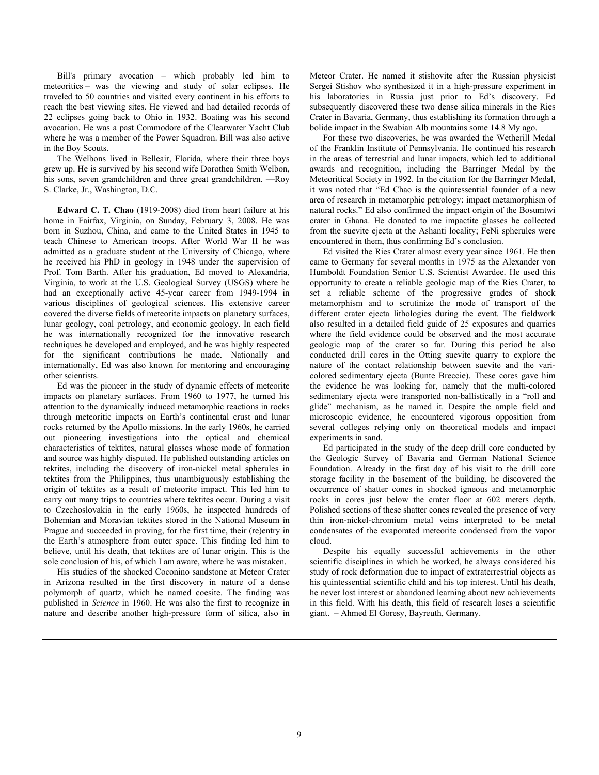Bill's primary avocation – which probably led him to meteoritics – was the viewing and study of solar eclipses. He traveled to 50 countries and visited every continent in his efforts to reach the best viewing sites. He viewed and had detailed records of 22 eclipses going back to Ohio in 1932. Boating was his second avocation. He was a past Commodore of the Clearwater Yacht Club where he was a member of the Power Squadron. Bill was also active in the Boy Scouts.

The Welbons lived in Belleair, Florida, where their three boys grew up. He is survived by his second wife Dorothea Smith Welbon, his sons, seven grandchildren and three great grandchildren. —Roy S. Clarke, Jr., Washington, D.C.

**Edward C. T. Chao** (1919-2008) died from heart failure at his home in Fairfax, Virginia, on Sunday, February 3, 2008. He was born in Suzhou, China, and came to the United States in 1945 to teach Chinese to American troops. After World War II he was admitted as a graduate student at the University of Chicago, where he received his PhD in geology in 1948 under the supervision of Prof. Tom Barth. After his graduation, Ed moved to Alexandria, Virginia, to work at the U.S. Geological Survey (USGS) where he had an exceptionally active 45-year career from 1949-1994 in various disciplines of geological sciences. His extensive career covered the diverse fields of meteorite impacts on planetary surfaces, lunar geology, coal petrology, and economic geology. In each field he was internationally recognized for the innovative research techniques he developed and employed, and he was highly respected for the significant contributions he made. Nationally and internationally, Ed was also known for mentoring and encouraging other scientists.

Ed was the pioneer in the study of dynamic effects of meteorite impacts on planetary surfaces. From 1960 to 1977, he turned his attention to the dynamically induced metamorphic reactions in rocks through meteoritic impacts on Earth's continental crust and lunar rocks returned by the Apollo missions. In the early 1960s, he carried out pioneering investigations into the optical and chemical characteristics of tektites, natural glasses whose mode of formation and source was highly disputed. He published outstanding articles on tektites, including the discovery of iron-nickel metal spherules in tektites from the Philippines, thus unambiguously establishing the origin of tektites as a result of meteorite impact. This led him to carry out many trips to countries where tektites occur. During a visit to Czechoslovakia in the early 1960s, he inspected hundreds of Bohemian and Moravian tektites stored in the National Museum in Prague and succeeded in proving, for the first time, their (re)entry in the Earth's atmosphere from outer space. This finding led him to believe, until his death, that tektites are of lunar origin. This is the sole conclusion of his, of which I am aware, where he was mistaken.

His studies of the shocked Coconino sandstone at Meteor Crater in Arizona resulted in the first discovery in nature of a dense polymorph of quartz, which he named coesite. The finding was published in *Science* in 1960. He was also the first to recognize in nature and describe another high-pressure form of silica, also in Meteor Crater. He named it stishovite after the Russian physicist Sergei Stishov who synthesized it in a high-pressure experiment in his laboratories in Russia just prior to Ed's discovery. Ed subsequently discovered these two dense silica minerals in the Ries Crater in Bavaria, Germany, thus establishing its formation through a bolide impact in the Swabian Alb mountains some 14.8 My ago.

For these two discoveries, he was awarded the Wetherill Medal of the Franklin Institute of Pennsylvania. He continued his research in the areas of terrestrial and lunar impacts, which led to additional awards and recognition, including the Barringer Medal by the Meteoritical Society in 1992. In the citation for the Barringer Medal, it was noted that "Ed Chao is the quintessential founder of a new area of research in metamorphic petrology: impact metamorphism of natural rocks." Ed also confirmed the impact origin of the Bosumtwi crater in Ghana. He donated to me impactite glasses he collected from the suevite ejecta at the Ashanti locality; FeNi spherules were encountered in them, thus confirming Ed's conclusion.

Ed visited the Ries Crater almost every year since 1961. He then came to Germany for several months in 1975 as the Alexander von Humboldt Foundation Senior U.S. Scientist Awardee. He used this opportunity to create a reliable geologic map of the Ries Crater, to set a reliable scheme of the progressive grades of shock metamorphism and to scrutinize the mode of transport of the different crater ejecta lithologies during the event. The fieldwork also resulted in a detailed field guide of 25 exposures and quarries where the field evidence could be observed and the most accurate geologic map of the crater so far. During this period he also conducted drill cores in the Otting suevite quarry to explore the nature of the contact relationship between suevite and the varicolored sedimentary ejecta (Bunte Breccie). These cores gave him the evidence he was looking for, namely that the multi-colored sedimentary ejecta were transported non-ballistically in a "roll and glide" mechanism, as he named it. Despite the ample field and microscopic evidence, he encountered vigorous opposition from several colleges relying only on theoretical models and impact experiments in sand.

Ed participated in the study of the deep drill core conducted by the Geologic Survey of Bavaria and German National Science Foundation. Already in the first day of his visit to the drill core storage facility in the basement of the building, he discovered the occurrence of shatter cones in shocked igneous and metamorphic rocks in cores just below the crater floor at 602 meters depth. Polished sections of these shatter cones revealed the presence of very thin iron-nickel-chromium metal veins interpreted to be metal condensates of the evaporated meteorite condensed from the vapor cloud.

Despite his equally successful achievements in the other scientific disciplines in which he worked, he always considered his study of rock deformation due to impact of extraterrestrial objects as his quintessential scientific child and his top interest. Until his death, he never lost interest or abandoned learning about new achievements in this field. With his death, this field of research loses a scientific giant. – Ahmed El Goresy, Bayreuth, Germany.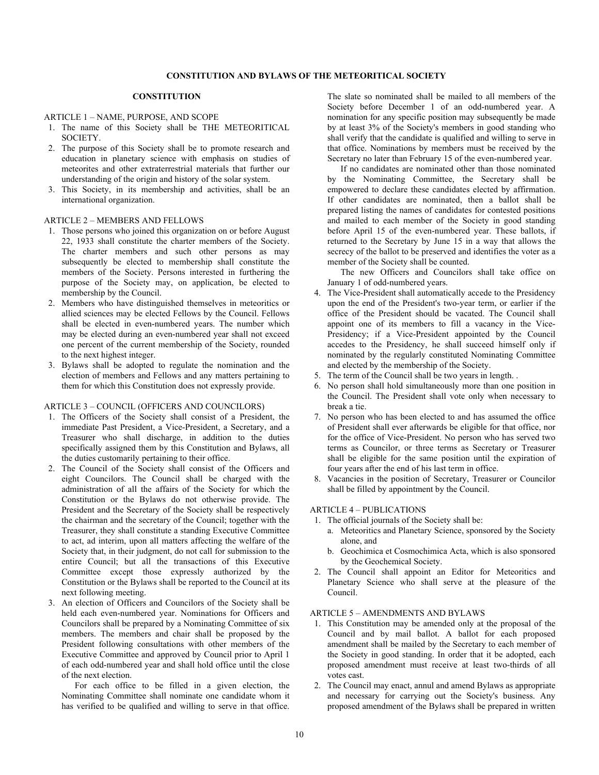# **CONSTITUTION**

## ARTICLE 1 – NAME, PURPOSE, AND SCOPE

- 1. The name of this Society shall be THE METEORITICAL SOCIETY.
- 2. The purpose of this Society shall be to promote research and education in planetary science with emphasis on studies of meteorites and other extraterrestrial materials that further our understanding of the origin and history of the solar system.
- 3. This Society, in its membership and activities, shall be an international organization.

## ARTICLE 2 – MEMBERS AND FELLOWS

- 1. Those persons who joined this organization on or before August 22, 1933 shall constitute the charter members of the Society. The charter members and such other persons as may subsequently be elected to membership shall constitute the members of the Society. Persons interested in furthering the purpose of the Society may, on application, be elected to membership by the Council.
- 2. Members who have distinguished themselves in meteoritics or allied sciences may be elected Fellows by the Council. Fellows shall be elected in even-numbered years. The number which may be elected during an even-numbered year shall not exceed one percent of the current membership of the Society, rounded to the next highest integer.
- 3. Bylaws shall be adopted to regulate the nomination and the election of members and Fellows and any matters pertaining to them for which this Constitution does not expressly provide.

### ARTICLE 3 – COUNCIL (OFFICERS AND COUNCILORS)

- 1. The Officers of the Society shall consist of a President, the immediate Past President, a Vice-President, a Secretary, and a Treasurer who shall discharge, in addition to the duties specifically assigned them by this Constitution and Bylaws, all the duties customarily pertaining to their office.
- 2. The Council of the Society shall consist of the Officers and eight Councilors. The Council shall be charged with the administration of all the affairs of the Society for which the Constitution or the Bylaws do not otherwise provide. The President and the Secretary of the Society shall be respectively the chairman and the secretary of the Council; together with the Treasurer, they shall constitute a standing Executive Committee to act, ad interim, upon all matters affecting the welfare of the Society that, in their judgment, do not call for submission to the entire Council; but all the transactions of this Executive Committee except those expressly authorized by the Constitution or the Bylaws shall be reported to the Council at its next following meeting.
- 3. An election of Officers and Councilors of the Society shall be held each even-numbered year. Nominations for Officers and Councilors shall be prepared by a Nominating Committee of six members. The members and chair shall be proposed by the President following consultations with other members of the Executive Committee and approved by Council prior to April 1 of each odd-numbered year and shall hold office until the close of the next election.

 For each office to be filled in a given election, the Nominating Committee shall nominate one candidate whom it has verified to be qualified and willing to serve in that office.

The slate so nominated shall be mailed to all members of the Society before December 1 of an odd-numbered year. A nomination for any specific position may subsequently be made by at least 3% of the Society's members in good standing who shall verify that the candidate is qualified and willing to serve in that office. Nominations by members must be received by the Secretary no later than February 15 of the even-numbered year.

 If no candidates are nominated other than those nominated by the Nominating Committee, the Secretary shall be empowered to declare these candidates elected by affirmation. If other candidates are nominated, then a ballot shall be prepared listing the names of candidates for contested positions and mailed to each member of the Society in good standing before April 15 of the even-numbered year. These ballots, if returned to the Secretary by June 15 in a way that allows the secrecy of the ballot to be preserved and identifies the voter as a member of the Society shall be counted.

 The new Officers and Councilors shall take office on January 1 of odd-numbered years.

- 4. The Vice-President shall automatically accede to the Presidency upon the end of the President's two-year term, or earlier if the office of the President should be vacated. The Council shall appoint one of its members to fill a vacancy in the Vice-Presidency; if a Vice-President appointed by the Council accedes to the Presidency, he shall succeed himself only if nominated by the regularly constituted Nominating Committee and elected by the membership of the Society.
- 5. The term of the Council shall be two years in length. .
- 6. No person shall hold simultaneously more than one position in the Council. The President shall vote only when necessary to break a tie.
- 7. No person who has been elected to and has assumed the office of President shall ever afterwards be eligible for that office, nor for the office of Vice-President. No person who has served two terms as Councilor, or three terms as Secretary or Treasurer shall be eligible for the same position until the expiration of four years after the end of his last term in office.
- 8. Vacancies in the position of Secretary, Treasurer or Councilor shall be filled by appointment by the Council.

## ARTICLE 4 – PUBLICATIONS

- 1. The official journals of the Society shall be:
	- a. Meteoritics and Planetary Science, sponsored by the Society alone, and
	- b. Geochimica et Cosmochimica Acta, which is also sponsored by the Geochemical Society.
- 2. The Council shall appoint an Editor for Meteoritics and Planetary Science who shall serve at the pleasure of the Council.

## ARTICLE 5 – AMENDMENTS AND BYLAWS

- 1. This Constitution may be amended only at the proposal of the Council and by mail ballot. A ballot for each proposed amendment shall be mailed by the Secretary to each member of the Society in good standing. In order that it be adopted, each proposed amendment must receive at least two-thirds of all votes cast.
- 2. The Council may enact, annul and amend Bylaws as appropriate and necessary for carrying out the Society's business. Any proposed amendment of the Bylaws shall be prepared in written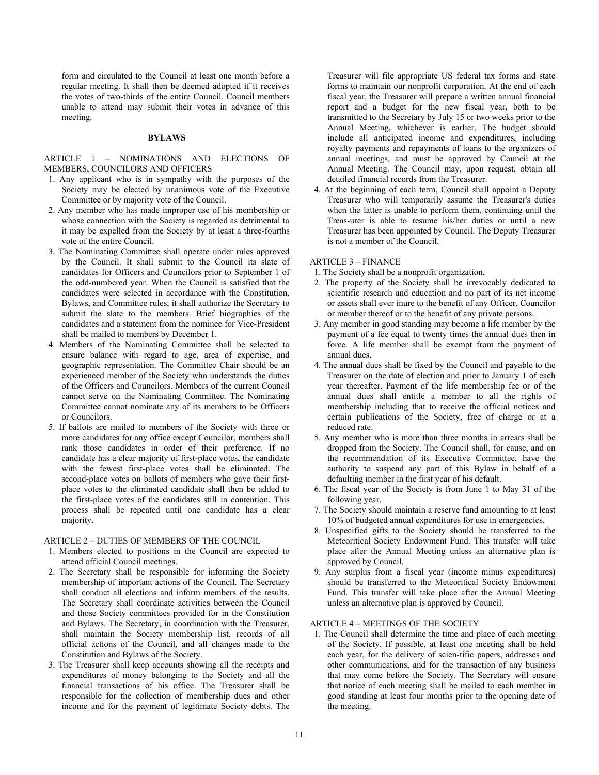form and circulated to the Council at least one month before a regular meeting. It shall then be deemed adopted if it receives the votes of two-thirds of the entire Council. Council members unable to attend may submit their votes in advance of this meeting.

### **BYLAWS**

## ARTICLE 1 – NOMINATIONS AND ELECTIONS OF MEMBERS, COUNCILORS AND OFFICERS

- 1. Any applicant who is in sympathy with the purposes of the Society may be elected by unanimous vote of the Executive Committee or by majority vote of the Council.
- 2. Any member who has made improper use of his membership or whose connection with the Society is regarded as detrimental to it may be expelled from the Society by at least a three-fourths vote of the entire Council.
- 3. The Nominating Committee shall operate under rules approved by the Council. It shall submit to the Council its slate of candidates for Officers and Councilors prior to September 1 of the odd-numbered year. When the Council is satisfied that the candidates were selected in accordance with the Constitution, Bylaws, and Committee rules, it shall authorize the Secretary to submit the slate to the members. Brief biographies of the candidates and a statement from the nominee for Vice-President shall be mailed to members by December 1.
- 4. Members of the Nominating Committee shall be selected to ensure balance with regard to age, area of expertise, and geographic representation. The Committee Chair should be an experienced member of the Society who understands the duties of the Officers and Councilors. Members of the current Council cannot serve on the Nominating Committee. The Nominating Committee cannot nominate any of its members to be Officers or Councilors.
- 5. If ballots are mailed to members of the Society with three or more candidates for any office except Councilor, members shall rank those candidates in order of their preference. If no candidate has a clear majority of first-place votes, the candidate with the fewest first-place votes shall be eliminated. The second-place votes on ballots of members who gave their firstplace votes to the eliminated candidate shall then be added to the first-place votes of the candidates still in contention. This process shall be repeated until one candidate has a clear majority.

## ARTICLE 2 – DUTIES OF MEMBERS OF THE COUNCIL

- 1. Members elected to positions in the Council are expected to attend official Council meetings.
- 2. The Secretary shall be responsible for informing the Society membership of important actions of the Council. The Secretary shall conduct all elections and inform members of the results. The Secretary shall coordinate activities between the Council and those Society committees provided for in the Constitution and Bylaws. The Secretary, in coordination with the Treasurer, shall maintain the Society membership list, records of all official actions of the Council, and all changes made to the Constitution and Bylaws of the Society.
- 3. The Treasurer shall keep accounts showing all the receipts and expenditures of money belonging to the Society and all the financial transactions of his office. The Treasurer shall be responsible for the collection of membership dues and other income and for the payment of legitimate Society debts. The

Treasurer will file appropriate US federal tax forms and state forms to maintain our nonprofit corporation. At the end of each fiscal year, the Treasurer will prepare a written annual financial report and a budget for the new fiscal year, both to be transmitted to the Secretary by July 15 or two weeks prior to the Annual Meeting, whichever is earlier. The budget should include all anticipated income and expenditures, including royalty payments and repayments of loans to the organizers of annual meetings, and must be approved by Council at the Annual Meeting. The Council may, upon request, obtain all detailed financial records from the Treasurer.

4. At the beginning of each term, Council shall appoint a Deputy Treasurer who will temporarily assume the Treasurer's duties when the latter is unable to perform them, continuing until the Treas-urer is able to resume his/her duties or until a new Treasurer has been appointed by Council. The Deputy Treasurer is not a member of the Council.

## ARTICLE 3 – FINANCE

- 1. The Society shall be a nonprofit organization.
- 2. The property of the Society shall be irrevocably dedicated to scientific research and education and no part of its net income or assets shall ever inure to the benefit of any Officer, Councilor or member thereof or to the benefit of any private persons.
- 3. Any member in good standing may become a life member by the payment of a fee equal to twenty times the annual dues then in force. A life member shall be exempt from the payment of annual dues.
- 4. The annual dues shall be fixed by the Council and payable to the Treasurer on the date of election and prior to January 1 of each year thereafter. Payment of the life membership fee or of the annual dues shall entitle a member to all the rights of membership including that to receive the official notices and certain publications of the Society, free of charge or at a reduced rate.
- 5. Any member who is more than three months in arrears shall be dropped from the Society. The Council shall, for cause, and on the recommendation of its Executive Committee, have the authority to suspend any part of this Bylaw in behalf of a defaulting member in the first year of his default.
- 6. The fiscal year of the Society is from June 1 to May 31 of the following year.
- 7. The Society should maintain a reserve fund amounting to at least 10% of budgeted annual expenditures for use in emergencies.
- 8. Unspecified gifts to the Society should be transferred to the Meteoritical Society Endowment Fund. This transfer will take place after the Annual Meeting unless an alternative plan is approved by Council.
- 9. Any surplus from a fiscal year (income minus expenditures) should be transferred to the Meteoritical Society Endowment Fund. This transfer will take place after the Annual Meeting unless an alternative plan is approved by Council.

## ARTICLE 4 – MEETINGS OF THE SOCIETY

1. The Council shall determine the time and place of each meeting of the Society. If possible, at least one meeting shall be held each year, for the delivery of scien-tific papers, addresses and other communications, and for the transaction of any business that may come before the Society. The Secretary will ensure that notice of each meeting shall be mailed to each member in good standing at least four months prior to the opening date of the meeting.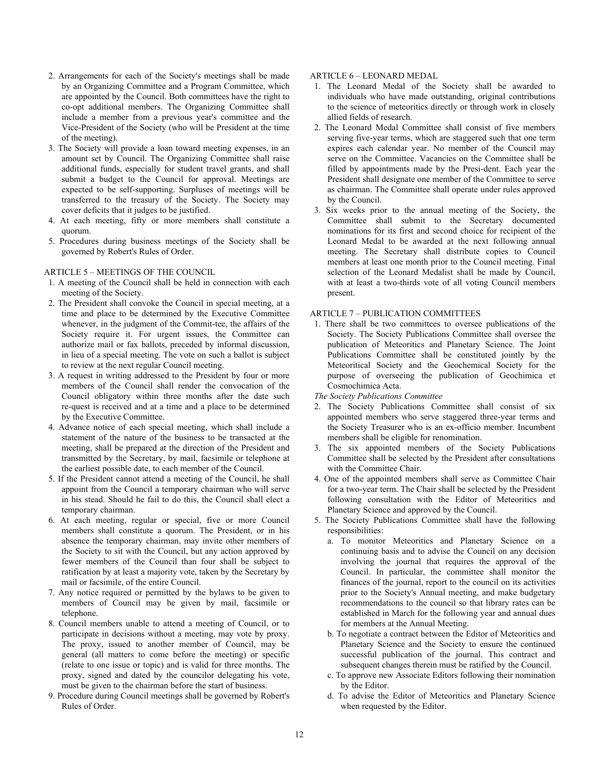- 2. Arrangements for each of the Society's meetings shall be made by an Organizing Committee and a Program Committee, which are appointed by the Council. Both committees have the right to co-opt additional members. The Organizing Committee shall include a member from a previous year's committee and the Vice-President of the Society (who will be President at the time of the meeting).
- 3. The Society will provide a loan toward meeting expenses, in an amount set by Council. The Organizing Committee shall raise additional funds, especially for student travel grants, and shall submit a budget to the Council for approval. Meetings are expected to be self-supporting. Surpluses of meetings will be transferred to the treasury of the Society. The Society may cover deficits that it judges to be justified.
- 4. At each meeting, fifty or more members shall constitute a quorum.
- 5. Procedures during business meetings of the Society shall be governed by Robert's Rules of Order.

# ARTICLE 5 – MEETINGS OF THE COUNCIL

- 1. A meeting of the Council shall be held in connection with each meeting of the Society.
- 2. The President shall convoke the Council in special meeting, at a time and place to be determined by the Executive Committee whenever, in the judgment of the Commit-tee, the affairs of the Society require it. For urgent issues, the Committee can authorize mail or fax ballots, preceded by informal discussion, in lieu of a special meeting. The vote on such a ballot is subject to review at the next regular Council meeting.
- 3. A request in writing addressed to the President by four or more members of the Council shall render the convocation of the Council obligatory within three months after the date such re-quest is received and at a time and a place to be determined by the Executive Committee.
- 4. Advance notice of each special meeting, which shall include a statement of the nature of the business to be transacted at the meeting, shall be prepared at the direction of the President and transmitted by the Secretary, by mail, facsimile or telephone at the earliest possible date, to each member of the Council.
- 5. If the President cannot attend a meeting of the Council, he shall appoint from the Council a temporary chairman who will serve in his stead. Should he fail to do this, the Council shall elect a temporary chairman.
- 6. At each meeting, regular or special, five or more Council members shall constitute a quorum. The President, or in his absence the temporary chairman, may invite other members of the Society to sit with the Council, but any action approved by fewer members of the Council than four shall be subject to ratification by at least a majority vote, taken by the Secretary by mail or facsimile, of the entire Council.
- 7. Any notice required or permitted by the bylaws to be given to members of Council may be given by mail, facsimile or telephone.
- 8. Council members unable to attend a meeting of Council, or to participate in decisions without a meeting, may vote by proxy. The proxy, issued to another member of Council, may be general (all matters to come before the meeting) or specific (relate to one issue or topic) and is valid for three months. The proxy, signed and dated by the councilor delegating his vote, must be given to the chairman before the start of business.
- 9. Procedure during Council meetings shall be governed by Robert's Rules of Order.

## ARTICLE 6 – LEONARD MEDAL

- 1. The Leonard Medal of the Society shall be awarded to individuals who have made outstanding, original contributions to the science of meteoritics directly or through work in closely allied fields of research.
- 2. The Leonard Medal Committee shall consist of five members serving five-year terms, which are staggered such that one term expires each calendar year. No member of the Council may serve on the Committee. Vacancies on the Committee shall be filled by appointments made by the Presi-dent. Each year the President shall designate one member of the Committee to serve as chairman. The Committee shall operate under rules approved by the Council.
- 3. Six weeks prior to the annual meeting of the Society, the Committee shall submit to the Secretary documented nominations for its first and second choice for recipient of the Leonard Medal to be awarded at the next following annual meeting. The Secretary shall distribute copies to Council members at least one month prior to the Council meeting. Final selection of the Leonard Medalist shall be made by Council, with at least a two-thirds vote of all voting Council members present.

# ARTICLE 7 – PUBLICATION COMMITTEES

- 1. There shall be two committees to oversee publications of the Society. The Society Publications Committee shall oversee the publication of Meteoritics and Planetary Science. The Joint Publications Committee shall be constituted jointly by the Meteoritical Society and the Geochemical Society for the purpose of overseeing the publication of Geochimica et Cosmochimica Acta.
- *The Society Publications Committee*
- 2. The Society Publications Committee shall consist of six appointed members who serve staggered three-year terms and the Society Treasurer who is an ex-officio member. Incumbent members shall be eligible for renomination.
- 3. The six appointed members of the Society Publications Committee shall be selected by the President after consultations with the Committee Chair.
- 4. One of the appointed members shall serve as Committee Chair for a two-year term. The Chair shall be selected by the President following consultation with the Editor of Meteoritics and Planetary Science and approved by the Council.
- 5. The Society Publications Committee shall have the following responsibilities:
	- a. To monitor Meteoritics and Planetary Science on a continuing basis and to advise the Council on any decision involving the journal that requires the approval of the Council. In particular, the committee shall monitor the finances of the journal, report to the council on its activities prior to the Society's Annual meeting, and make budgetary recommendations to the council so that library rates can be established in March for the following year and annual dues for members at the Annual Meeting.
	- b. To negotiate a contract between the Editor of Meteoritics and Planetary Science and the Society to ensure the continued successful publication of the journal. This contract and subsequent changes therein must be ratified by the Council.
	- c. To approve new Associate Editors following their nomination by the Editor.
	- d. To advise the Editor of Meteoritics and Planetary Science when requested by the Editor.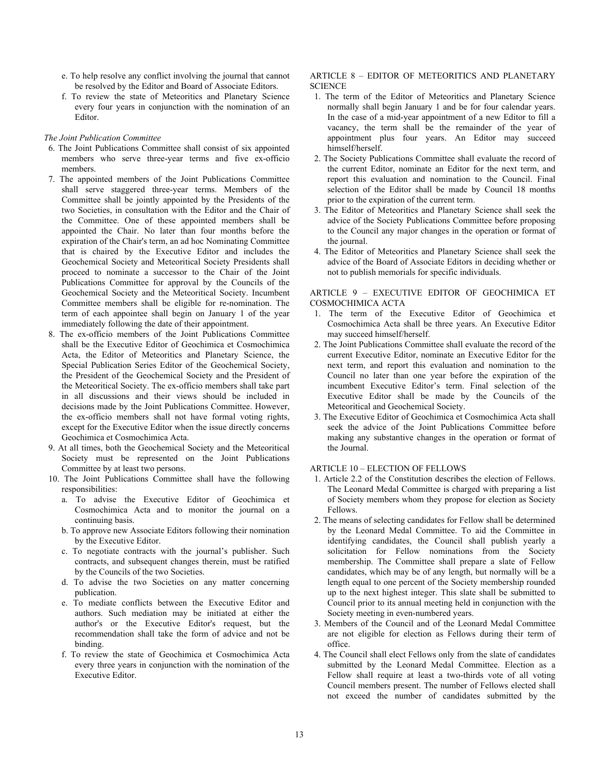- e. To help resolve any conflict involving the journal that cannot be resolved by the Editor and Board of Associate Editors.
- f. To review the state of Meteoritics and Planetary Science every four years in conjunction with the nomination of an Editor.

## *The Joint Publication Committee*

- 6. The Joint Publications Committee shall consist of six appointed members who serve three-year terms and five ex-officio members.
- 7. The appointed members of the Joint Publications Committee shall serve staggered three-year terms. Members of the Committee shall be jointly appointed by the Presidents of the two Societies, in consultation with the Editor and the Chair of the Committee. One of these appointed members shall be appointed the Chair. No later than four months before the expiration of the Chair's term, an ad hoc Nominating Committee that is chaired by the Executive Editor and includes the Geochemical Society and Meteoritical Society Presidents shall proceed to nominate a successor to the Chair of the Joint Publications Committee for approval by the Councils of the Geochemical Society and the Meteoritical Society. Incumbent Committee members shall be eligible for re-nomination. The term of each appointee shall begin on January 1 of the year immediately following the date of their appointment.
- 8. The ex-officio members of the Joint Publications Committee shall be the Executive Editor of Geochimica et Cosmochimica Acta, the Editor of Meteoritics and Planetary Science, the Special Publication Series Editor of the Geochemical Society, the President of the Geochemical Society and the President of the Meteoritical Society. The ex-officio members shall take part in all discussions and their views should be included in decisions made by the Joint Publications Committee. However, the ex-officio members shall not have formal voting rights, except for the Executive Editor when the issue directly concerns Geochimica et Cosmochimica Acta.
- 9. At all times, both the Geochemical Society and the Meteoritical Society must be represented on the Joint Publications Committee by at least two persons.
- 10. The Joint Publications Committee shall have the following responsibilities:
	- a. To advise the Executive Editor of Geochimica et Cosmochimica Acta and to monitor the journal on a continuing basis.
	- b. To approve new Associate Editors following their nomination by the Executive Editor.
	- c. To negotiate contracts with the journal's publisher. Such contracts, and subsequent changes therein, must be ratified by the Councils of the two Societies.
	- d. To advise the two Societies on any matter concerning publication.
	- e. To mediate conflicts between the Executive Editor and authors. Such mediation may be initiated at either the author's or the Executive Editor's request, but the recommendation shall take the form of advice and not be binding.
	- f. To review the state of Geochimica et Cosmochimica Acta every three years in conjunction with the nomination of the Executive Editor.

## ARTICLE 8 – EDITOR OF METEORITICS AND PLANETARY **SCIENCE**

- 1. The term of the Editor of Meteoritics and Planetary Science normally shall begin January 1 and be for four calendar years. In the case of a mid-year appointment of a new Editor to fill a vacancy, the term shall be the remainder of the year of appointment plus four years. An Editor may succeed himself/herself.
- 2. The Society Publications Committee shall evaluate the record of the current Editor, nominate an Editor for the next term, and report this evaluation and nomination to the Council. Final selection of the Editor shall be made by Council 18 months prior to the expiration of the current term.
- 3. The Editor of Meteoritics and Planetary Science shall seek the advice of the Society Publications Committee before proposing to the Council any major changes in the operation or format of the journal.
- 4. The Editor of Meteoritics and Planetary Science shall seek the advice of the Board of Associate Editors in deciding whether or not to publish memorials for specific individuals.

# ARTICLE 9 – EXECUTIVE EDITOR OF GEOCHIMICA ET COSMOCHIMICA ACTA

- 1. The term of the Executive Editor of Geochimica et Cosmochimica Acta shall be three years. An Executive Editor may succeed himself/herself.
- 2. The Joint Publications Committee shall evaluate the record of the current Executive Editor, nominate an Executive Editor for the next term, and report this evaluation and nomination to the Council no later than one year before the expiration of the incumbent Executive Editor's term. Final selection of the Executive Editor shall be made by the Councils of the Meteoritical and Geochemical Society.
- 3. The Executive Editor of Geochimica et Cosmochimica Acta shall seek the advice of the Joint Publications Committee before making any substantive changes in the operation or format of the Journal.

# ARTICLE 10 – ELECTION OF FELLOWS

- 1. Article 2.2 of the Constitution describes the election of Fellows. The Leonard Medal Committee is charged with preparing a list of Society members whom they propose for election as Society Fellows.
- 2. The means of selecting candidates for Fellow shall be determined by the Leonard Medal Committee. To aid the Committee in identifying candidates, the Council shall publish yearly a solicitation for Fellow nominations from the Society membership. The Committee shall prepare a slate of Fellow candidates, which may be of any length, but normally will be a length equal to one percent of the Society membership rounded up to the next highest integer. This slate shall be submitted to Council prior to its annual meeting held in conjunction with the Society meeting in even-numbered years.
- 3. Members of the Council and of the Leonard Medal Committee are not eligible for election as Fellows during their term of office.
- 4. The Council shall elect Fellows only from the slate of candidates submitted by the Leonard Medal Committee. Election as a Fellow shall require at least a two-thirds vote of all voting Council members present. The number of Fellows elected shall not exceed the number of candidates submitted by the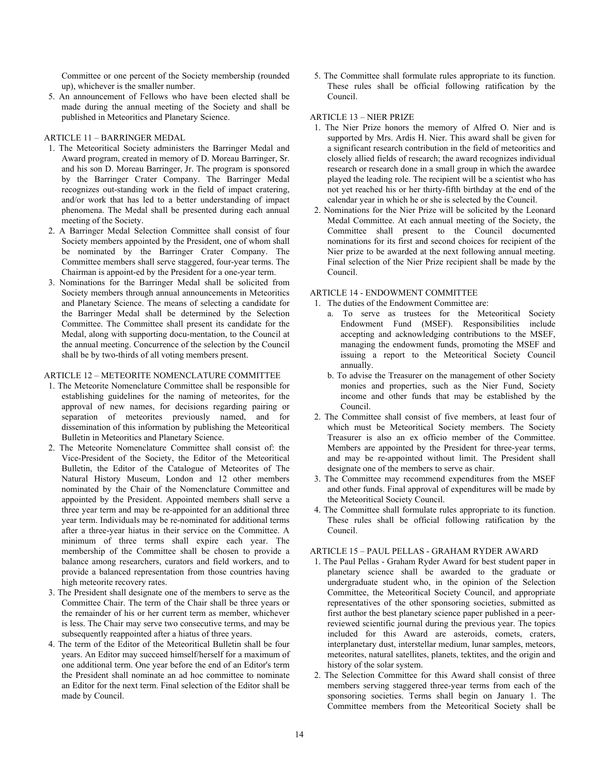Committee or one percent of the Society membership (rounded up), whichever is the smaller number.

5. An announcement of Fellows who have been elected shall be made during the annual meeting of the Society and shall be published in Meteoritics and Planetary Science.

## ARTICLE 11 – BARRINGER MEDAL

- 1. The Meteoritical Society administers the Barringer Medal and Award program, created in memory of D. Moreau Barringer, Sr. and his son D. Moreau Barringer, Jr. The program is sponsored by the Barringer Crater Company. The Barringer Medal recognizes out-standing work in the field of impact cratering, and/or work that has led to a better understanding of impact phenomena. The Medal shall be presented during each annual meeting of the Society.
- 2. A Barringer Medal Selection Committee shall consist of four Society members appointed by the President, one of whom shall be nominated by the Barringer Crater Company. The Committee members shall serve staggered, four-year terms. The Chairman is appoint-ed by the President for a one-year term.
- 3. Nominations for the Barringer Medal shall be solicited from Society members through annual announcements in Meteoritics and Planetary Science. The means of selecting a candidate for the Barringer Medal shall be determined by the Selection Committee. The Committee shall present its candidate for the Medal, along with supporting docu-mentation, to the Council at the annual meeting. Concurrence of the selection by the Council shall be by two-thirds of all voting members present.

# ARTICLE 12 – METEORITE NOMENCLATURE COMMITTEE

- 1. The Meteorite Nomenclature Committee shall be responsible for establishing guidelines for the naming of meteorites, for the approval of new names, for decisions regarding pairing or separation of meteorites previously named, and for dissemination of this information by publishing the Meteoritical Bulletin in Meteoritics and Planetary Science.
- 2. The Meteorite Nomenclature Committee shall consist of: the Vice-President of the Society, the Editor of the Meteoritical Bulletin, the Editor of the Catalogue of Meteorites of The Natural History Museum, London and 12 other members nominated by the Chair of the Nomenclature Committee and appointed by the President. Appointed members shall serve a three year term and may be re-appointed for an additional three year term. Individuals may be re-nominated for additional terms after a three-year hiatus in their service on the Committee. A minimum of three terms shall expire each year. The membership of the Committee shall be chosen to provide a balance among researchers, curators and field workers, and to provide a balanced representation from those countries having high meteorite recovery rates.
- 3. The President shall designate one of the members to serve as the Committee Chair. The term of the Chair shall be three years or the remainder of his or her current term as member, whichever is less. The Chair may serve two consecutive terms, and may be subsequently reappointed after a hiatus of three years.
- 4. The term of the Editor of the Meteoritical Bulletin shall be four years. An Editor may succeed himself/herself for a maximum of one additional term. One year before the end of an Editor's term the President shall nominate an ad hoc committee to nominate an Editor for the next term. Final selection of the Editor shall be made by Council.

5. The Committee shall formulate rules appropriate to its function. These rules shall be official following ratification by the Council.

## ARTICLE 13 – NIER PRIZE

- 1. The Nier Prize honors the memory of Alfred O. Nier and is supported by Mrs. Ardis H. Nier. This award shall be given for a significant research contribution in the field of meteoritics and closely allied fields of research; the award recognizes individual research or research done in a small group in which the awardee played the leading role. The recipient will be a scientist who has not yet reached his or her thirty-fifth birthday at the end of the calendar year in which he or she is selected by the Council.
- 2. Nominations for the Nier Prize will be solicited by the Leonard Medal Committee. At each annual meeting of the Society, the Committee shall present to the Council documented nominations for its first and second choices for recipient of the Nier prize to be awarded at the next following annual meeting. Final selection of the Nier Prize recipient shall be made by the Council.

# ARTICLE 14 - ENDOWMENT COMMITTEE

- 1. The duties of the Endowment Committee are:
	- a. To serve as trustees for the Meteoritical Society Endowment Fund (MSEF). Responsibilities include accepting and acknowledging contributions to the MSEF, managing the endowment funds, promoting the MSEF and issuing a report to the Meteoritical Society Council annually.
	- b. To advise the Treasurer on the management of other Society monies and properties, such as the Nier Fund, Society income and other funds that may be established by the Council.
- 2. The Committee shall consist of five members, at least four of which must be Meteoritical Society members. The Society Treasurer is also an ex officio member of the Committee. Members are appointed by the President for three-year terms, and may be re-appointed without limit. The President shall designate one of the members to serve as chair.
- 3. The Committee may recommend expenditures from the MSEF and other funds. Final approval of expenditures will be made by the Meteoritical Society Council.
- 4. The Committee shall formulate rules appropriate to its function. These rules shall be official following ratification by the Council.

# ARTICLE 15 – PAUL PELLAS - GRAHAM RYDER AWARD

- 1. The Paul Pellas Graham Ryder Award for best student paper in planetary science shall be awarded to the graduate or undergraduate student who, in the opinion of the Selection Committee, the Meteoritical Society Council, and appropriate representatives of the other sponsoring societies, submitted as first author the best planetary science paper published in a peerreviewed scientific journal during the previous year. The topics included for this Award are asteroids, comets, craters, interplanetary dust, interstellar medium, lunar samples, meteors, meteorites, natural satellites, planets, tektites, and the origin and history of the solar system.
- 2. The Selection Committee for this Award shall consist of three members serving staggered three-year terms from each of the sponsoring societies. Terms shall begin on January 1. The Committee members from the Meteoritical Society shall be